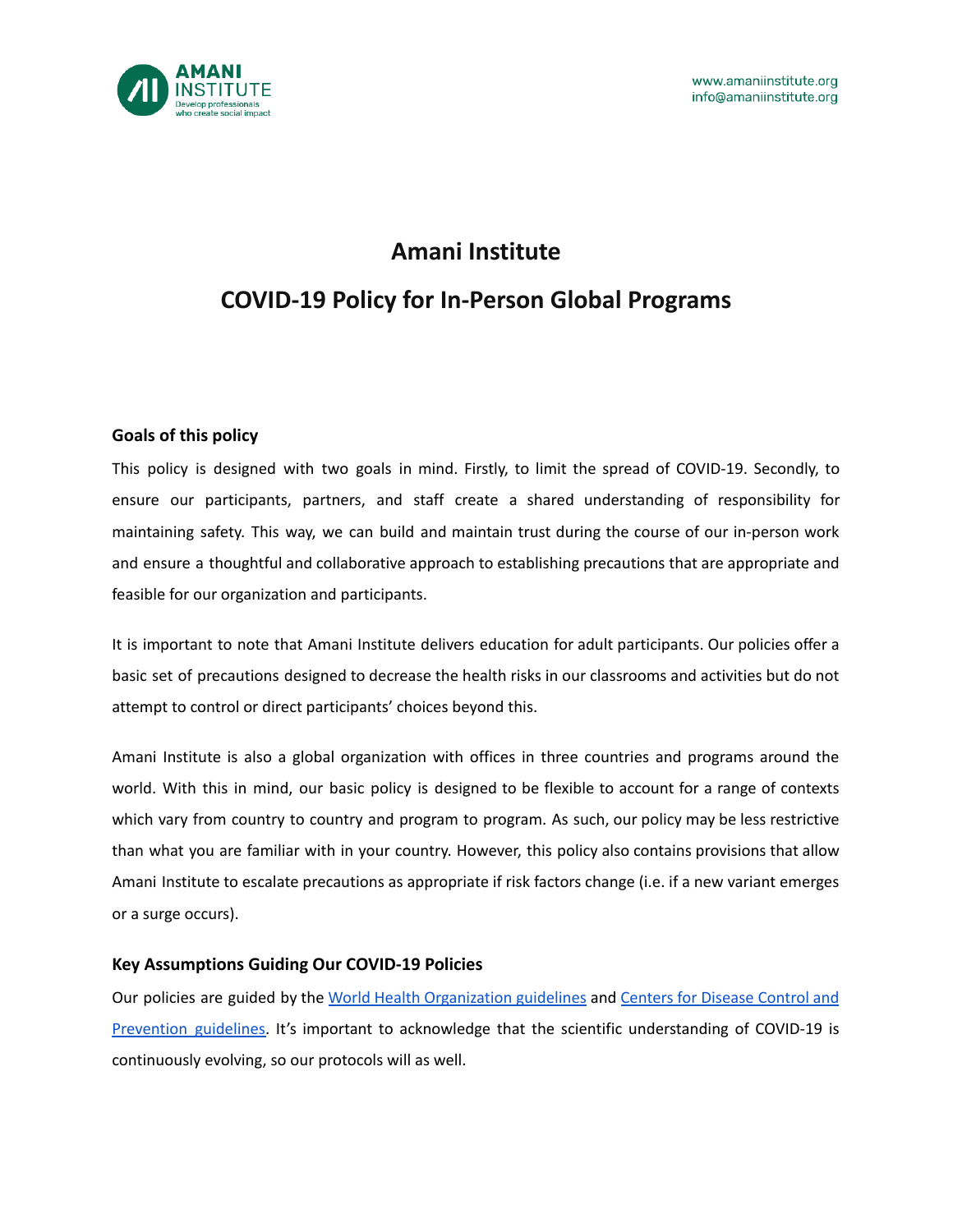

## **Amani Institute**

# **COVID-19 Policy for In-Person Global Programs**

## **Goals of this policy**

This policy is designed with two goals in mind. Firstly, to limit the spread of COVID-19. Secondly, to ensure our participants, partners, and staff create a shared understanding of responsibility for maintaining safety. This way, we can build and maintain trust during the course of our in-person work and ensure a thoughtful and collaborative approach to establishing precautions that are appropriate and feasible for our organization and participants.

It is important to note that Amani Institute delivers education for adult participants. Our policies offer a basic set of precautions designed to decrease the health risks in our classrooms and activities but do not attempt to control or direct participants' choices beyond this.

Amani Institute is also a global organization with offices in three countries and programs around the world. With this in mind, our basic policy is designed to be flexible to account for a range of contexts which vary from country to country and program to program. As such, our policy may be less restrictive than what you are familiar with in your country. However, this policy also contains provisions that allow Amani Institute to escalate precautions as appropriate if risk factors change (i.e. if a new variant emerges or a surge occurs).

### **Key Assumptions Guiding Our COVID-19 Policies**

Our policies are guided by the World Health [Organization](https://www.who.int/health-topics/coronavirus#tab=tab_1) guidelines and Centers for [Disease](https://www.cdc.gov/coronavirus/2019-ncov/your-health/quarantine-isolation.html) Control and [Prevention](https://www.cdc.gov/coronavirus/2019-ncov/your-health/quarantine-isolation.html) guidelines. It's important to acknowledge that the scientific understanding of COVID-19 is continuously evolving, so our protocols will as well.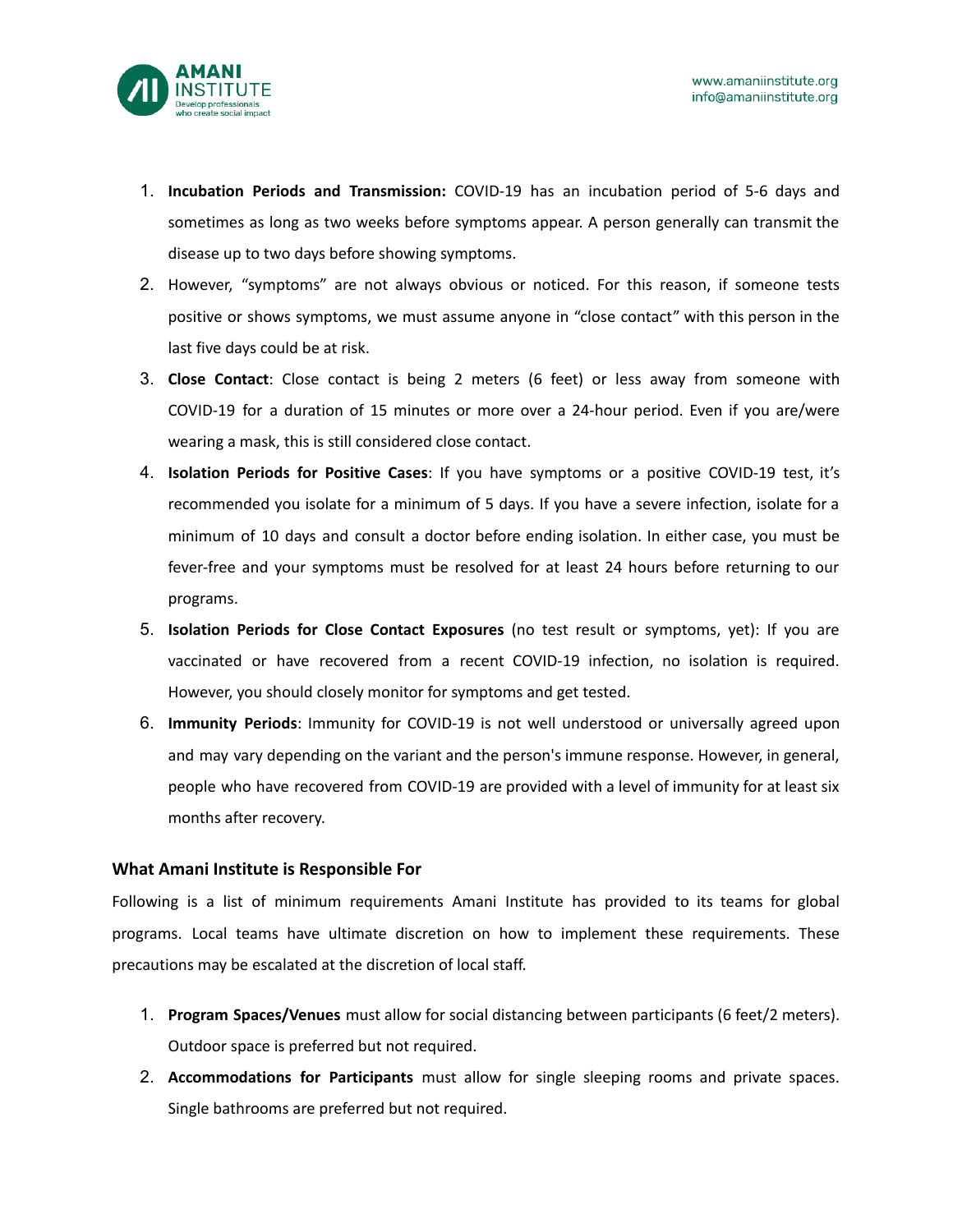

- 1. **Incubation Periods and Transmission:** COVID-19 has an incubation period of 5-6 days and sometimes as long as two weeks before symptoms appear. A person generally can transmit the disease up to two days before showing symptoms.
- 2. However, "symptoms" are not always obvious or noticed. For this reason, if someone tests positive or shows symptoms, we must assume anyone in "close contact" with this person in the last five days could be at risk.
- 3. **Close Contact**: Close contact is being 2 meters (6 feet) or less away from someone with COVID-19 for a duration of 15 minutes or more over a 24-hour period. Even if you are/were wearing a mask, this is still considered close contact.
- 4. **Isolation Periods for Positive Cases**: If you have symptoms or a positive COVID-19 test, it's recommended you isolate for a minimum of 5 days. If you have a severe infection, isolate for a minimum of 10 days and consult a doctor before ending isolation. In either case, you must be fever-free and your symptoms must be resolved for at least 24 hours before returning to our programs.
- 5. **Isolation Periods for Close Contact Exposures** (no test result or symptoms, yet): If you are vaccinated or have recovered from a recent COVID-19 infection, no isolation is required. However, you should closely monitor for symptoms and get tested.
- 6. **Immunity Periods**: Immunity for COVID-19 is not well understood or universally agreed upon and may vary depending on the variant and the person's immune response. However, in general, people who have recovered from COVID-19 are provided with a level of immunity for at least six months after recovery.

### **What Amani Institute is Responsible For**

Following is a list of minimum requirements Amani Institute has provided to its teams for global programs. Local teams have ultimate discretion on how to implement these requirements. These precautions may be escalated at the discretion of local staff.

- 1. **Program Spaces/Venues** must allow for social distancing between participants (6 feet/2 meters). Outdoor space is preferred but not required.
- 2. **Accommodations for Participants** must allow for single sleeping rooms and private spaces. Single bathrooms are preferred but not required.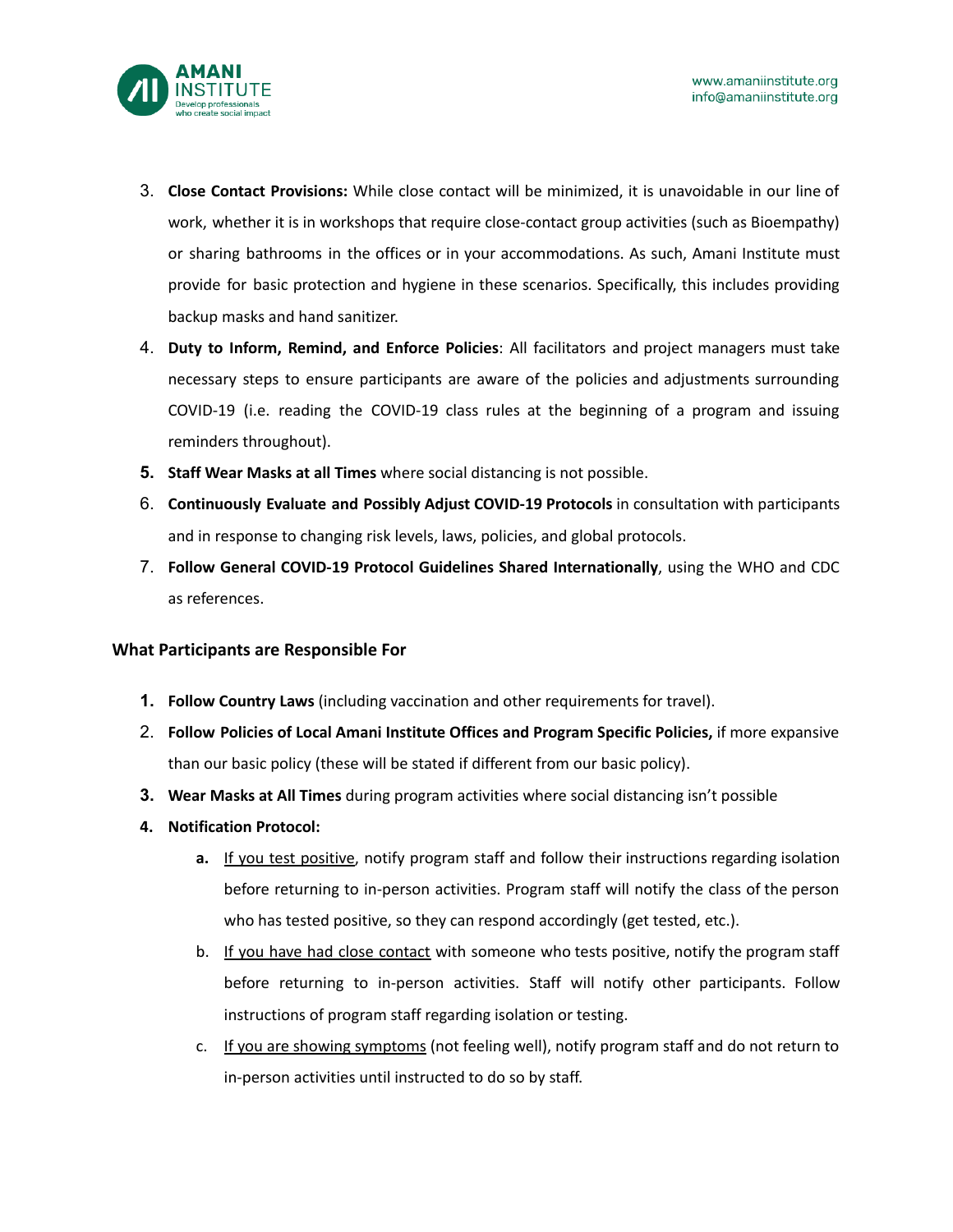

- 3. **Close Contact Provisions:** While close contact will be minimized, it is unavoidable in our line of work, whether it is in workshops that require close-contact group activities (such as Bioempathy) or sharing bathrooms in the offices or in your accommodations. As such, Amani Institute must provide for basic protection and hygiene in these scenarios. Specifically, this includes providing backup masks and hand sanitizer.
- 4. **Duty to Inform, Remind, and Enforce Policies**: All facilitators and project managers must take necessary steps to ensure participants are aware of the policies and adjustments surrounding COVID-19 (i.e. reading the COVID-19 class rules at the beginning of a program and issuing reminders throughout).
- **5. Staff Wear Masks at all Times** where social distancing is not possible.
- 6. **Continuously Evaluate and Possibly Adjust COVID-19 Protocols** in consultation with participants and in response to changing risk levels, laws, policies, and global protocols.
- 7. **Follow General COVID-19 Protocol Guidelines Shared Internationally**, using the WHO and CDC as references.

### **What Participants are Responsible For**

- **1. Follow Country Laws** (including vaccination and other requirements for travel).
- 2. **Follow Policies of Local Amani Institute Offices and Program Specific Policies,** if more expansive than our basic policy (these will be stated if different from our basic policy).
- **3. Wear Masks at All Times** during program activities where social distancing isn't possible
- **4. Notification Protocol:**
	- **a.** If you test positive, notify program staff and follow their instructions regarding isolation before returning to in-person activities. Program staff will notify the class of the person who has tested positive, so they can respond accordingly (get tested, etc.).
	- b. If you have had close contact with someone who tests positive, notify the program staff before returning to in-person activities. Staff will notify other participants. Follow instructions of program staff regarding isolation or testing.
	- c. If you are showing symptoms (not feeling well), notify program staff and do not return to in-person activities until instructed to do so by staff.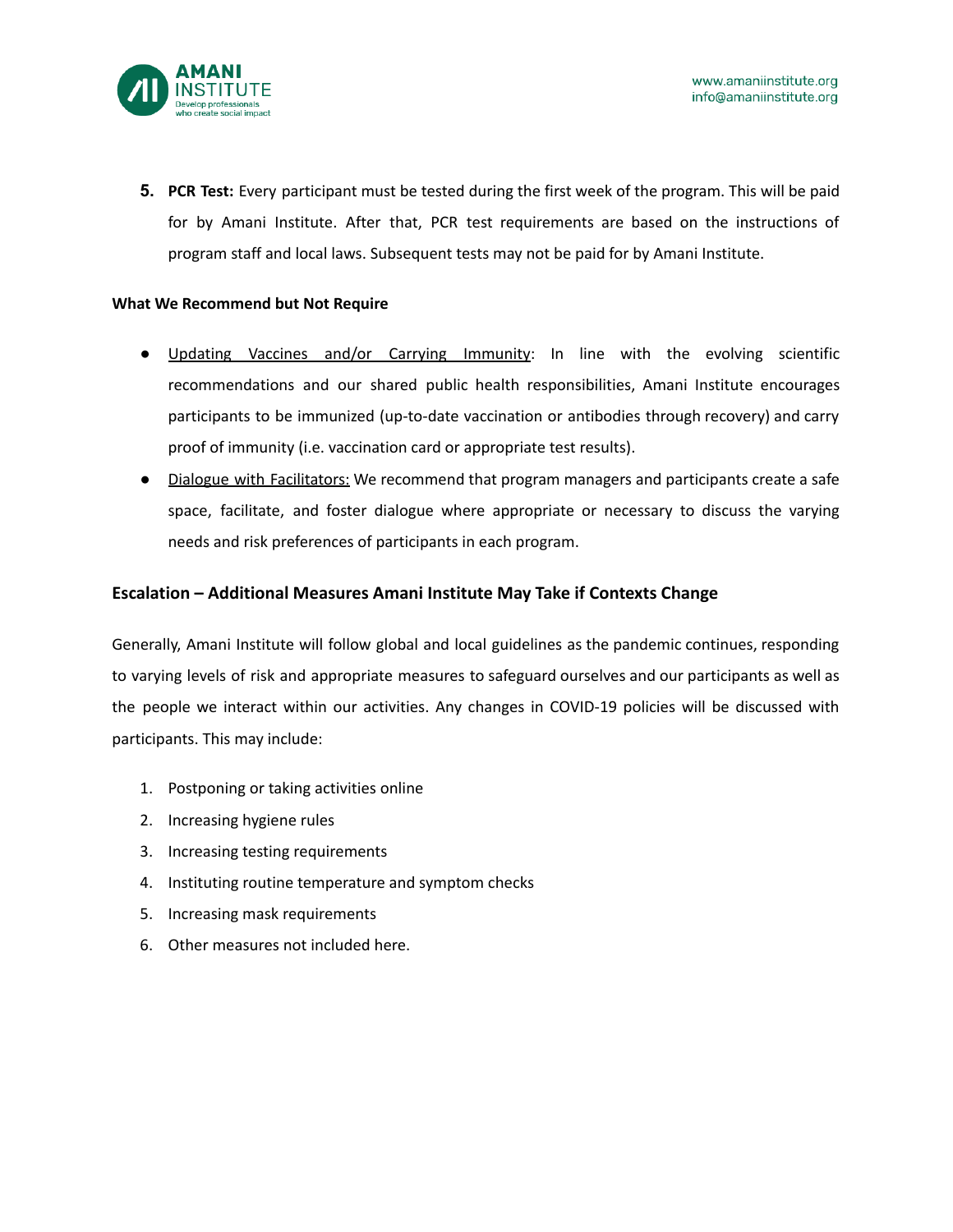

**5. PCR Test:** Every participant must be tested during the first week of the program. This will be paid for by Amani Institute. After that, PCR test requirements are based on the instructions of program staff and local laws. Subsequent tests may not be paid for by Amani Institute.

#### **What We Recommend but Not Require**

- Updating Vaccines and/or Carrying Immunity: In line with the evolving scientific recommendations and our shared public health responsibilities, Amani Institute encourages participants to be immunized (up-to-date vaccination or antibodies through recovery) and carry proof of immunity (i.e. vaccination card or appropriate test results).
- Dialogue with Facilitators: We recommend that program managers and participants create a safe space, facilitate, and foster dialogue where appropriate or necessary to discuss the varying needs and risk preferences of participants in each program.

### **Escalation – Additional Measures Amani Institute May Take if Contexts Change**

Generally, Amani Institute will follow global and local guidelines as the pandemic continues, responding to varying levels of risk and appropriate measures to safeguard ourselves and our participants as well as the people we interact within our activities. Any changes in COVID-19 policies will be discussed with participants. This may include:

- 1. Postponing or taking activities online
- 2. Increasing hygiene rules
- 3. Increasing testing requirements
- 4. Instituting routine temperature and symptom checks
- 5. Increasing mask requirements
- 6. Other measures not included here.